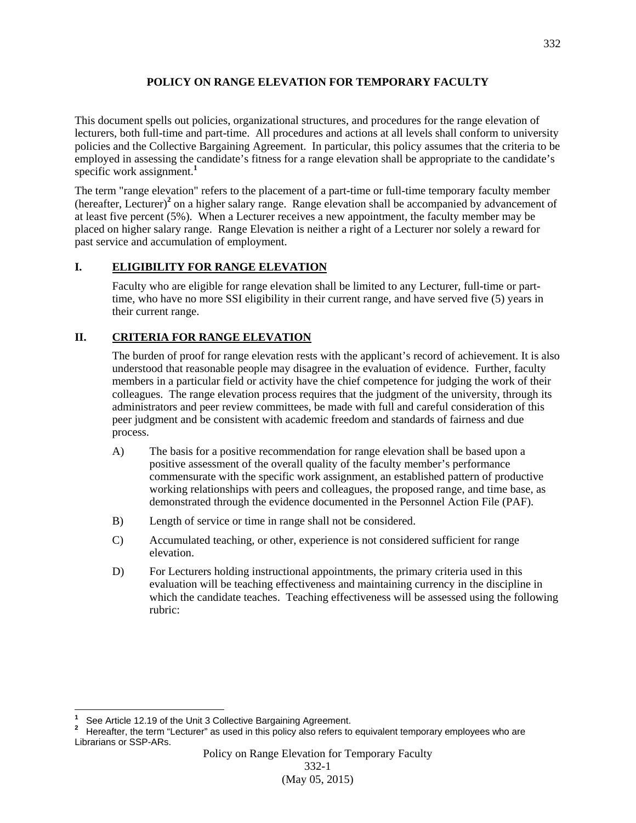#### **POLICY ON RANGE ELEVATION FOR TEMPORARY FACULTY**

This document spells out policies, organizational structures, and procedures for the range elevation of lecturers, both full-time and part-time. All procedures and actions at all levels shall conform to university policies and the Collective Bargaining Agreement. In particular, this policy assumes that the criteria to be employed in assessing the candidate's fitness for a range elevation shall be appropriate to the candidate's specific work assignment.**<sup>1</sup>**

The term "range elevation" refers to the placement of a part-time or full-time temporary faculty member (hereafter, Lecturer)**<sup>2</sup>** on a higher salary range. Range elevation shall be accompanied by advancement of at least five percent (5%). When a Lecturer receives a new appointment, the faculty member may be placed on higher salary range. Range Elevation is neither a right of a Lecturer nor solely a reward for past service and accumulation of employment.

## **I. ELIGIBILITY FOR RANGE ELEVATION**

Faculty who are eligible for range elevation shall be limited to any Lecturer, full-time or parttime, who have no more SSI eligibility in their current range, and have served five (5) years in their current range.

# **II. CRITERIA FOR RANGE ELEVATION**

The burden of proof for range elevation rests with the applicant's record of achievement. It is also understood that reasonable people may disagree in the evaluation of evidence. Further, faculty members in a particular field or activity have the chief competence for judging the work of their colleagues. The range elevation process requires that the judgment of the university, through its administrators and peer review committees, be made with full and careful consideration of this peer judgment and be consistent with academic freedom and standards of fairness and due process.

- A) The basis for a positive recommendation for range elevation shall be based upon a positive assessment of the overall quality of the faculty member's performance commensurate with the specific work assignment, an established pattern of productive working relationships with peers and colleagues, the proposed range, and time base, as demonstrated through the evidence documented in the Personnel Action File (PAF).
- B) Length of service or time in range shall not be considered.
- C) Accumulated teaching, or other, experience is not considered sufficient for range elevation.
- D) For Lecturers holding instructional appointments, the primary criteria used in this evaluation will be teaching effectiveness and maintaining currency in the discipline in which the candidate teaches. Teaching effectiveness will be assessed using the following rubric:

j. **1** <sup>1</sup> See Article 12.19 of the Unit 3 Collective Bargaining Agreement.<br><sup>2</sup> Hereafter, the term "Lecturer" as used in this policy also refers to

Hereafter, the term "Lecturer" as used in this policy also refers to equivalent temporary employees who are Librarians or SSP-ARs.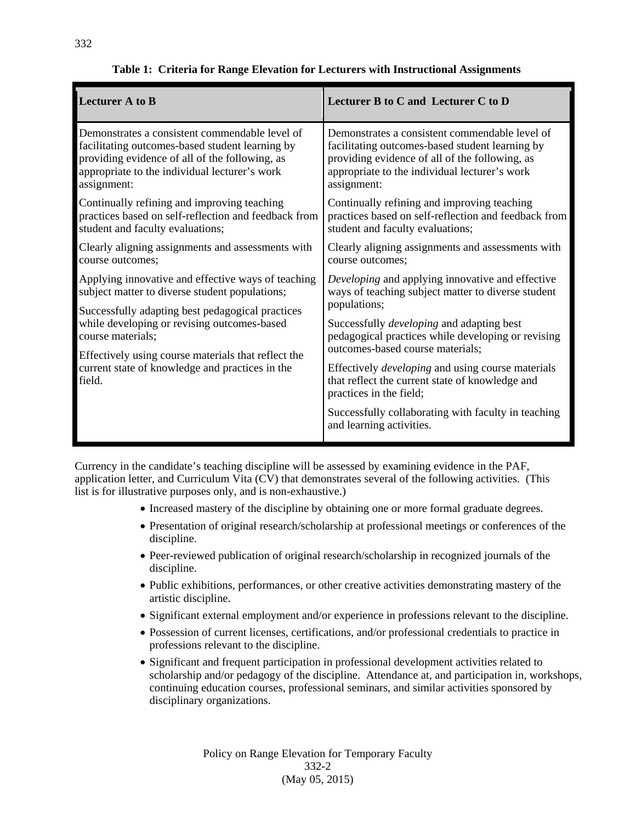| <b>Lecturer A to B</b>                                                                                                                                                                                                                                                                                                                           | Lecturer B to C and Lecturer C to D                                                                                                                                                                                 |
|--------------------------------------------------------------------------------------------------------------------------------------------------------------------------------------------------------------------------------------------------------------------------------------------------------------------------------------------------|---------------------------------------------------------------------------------------------------------------------------------------------------------------------------------------------------------------------|
| Demonstrates a consistent commendable level of<br>facilitating outcomes-based student learning by<br>providing evidence of all of the following, as<br>appropriate to the individual lecturer's work<br>assignment:                                                                                                                              | Demonstrates a consistent commendable level of<br>facilitating outcomes-based student learning by<br>providing evidence of all of the following, as<br>appropriate to the individual lecturer's work<br>assignment: |
| Continually refining and improving teaching<br>practices based on self-reflection and feedback from<br>student and faculty evaluations;                                                                                                                                                                                                          | Continually refining and improving teaching<br>practices based on self-reflection and feedback from<br>student and faculty evaluations;                                                                             |
| Clearly aligning assignments and assessments with<br>course outcomes:                                                                                                                                                                                                                                                                            | Clearly aligning assignments and assessments with<br>course outcomes;                                                                                                                                               |
| Applying innovative and effective ways of teaching<br>subject matter to diverse student populations;<br>Successfully adapting best pedagogical practices<br>while developing or revising outcomes-based<br>course materials;<br>Effectively using course materials that reflect the<br>current state of knowledge and practices in the<br>field. | Developing and applying innovative and effective<br>ways of teaching subject matter to diverse student<br>populations;                                                                                              |
|                                                                                                                                                                                                                                                                                                                                                  | Successfully <i>developing</i> and adapting best<br>pedagogical practices while developing or revising<br>outcomes-based course materials;                                                                          |
|                                                                                                                                                                                                                                                                                                                                                  | Effectively <i>developing</i> and using course materials<br>that reflect the current state of knowledge and<br>practices in the field;                                                                              |
|                                                                                                                                                                                                                                                                                                                                                  | Successfully collaborating with faculty in teaching<br>and learning activities.                                                                                                                                     |

## **Table 1: Criteria for Range Elevation for Lecturers with Instructional Assignments**

Currency in the candidate's teaching discipline will be assessed by examining evidence in the PAF, application letter, and Curriculum Vita (CV) that demonstrates several of the following activities. (This list is for illustrative purposes only, and is non-exhaustive.)

- Increased mastery of the discipline by obtaining one or more formal graduate degrees.
- Presentation of original research/scholarship at professional meetings or conferences of the discipline.
- Peer-reviewed publication of original research/scholarship in recognized journals of the discipline.
- Public exhibitions, performances, or other creative activities demonstrating mastery of the artistic discipline.
- Significant external employment and/or experience in professions relevant to the discipline.
- Possession of current licenses, certifications, and/or professional credentials to practice in professions relevant to the discipline.
- Significant and frequent participation in professional development activities related to scholarship and/or pedagogy of the discipline. Attendance at, and participation in, workshops, continuing education courses, professional seminars, and similar activities sponsored by disciplinary organizations.

Policy on Range Elevation for Temporary Faculty 332-2 (May 05, 2015)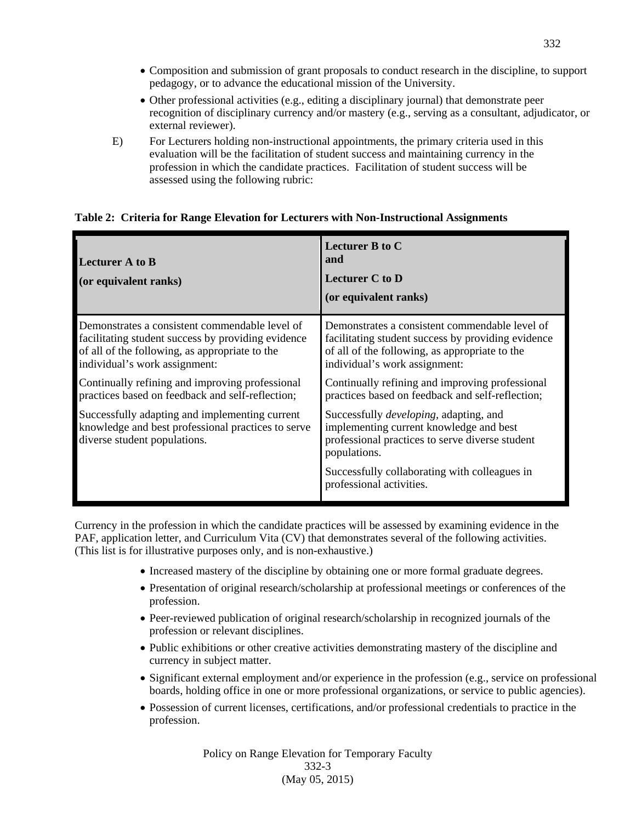- Composition and submission of grant proposals to conduct research in the discipline, to support pedagogy, or to advance the educational mission of the University.
- Other professional activities (e.g., editing a disciplinary journal) that demonstrate peer recognition of disciplinary currency and/or mastery (e.g., serving as a consultant, adjudicator, or external reviewer).
- E) For Lecturers holding non-instructional appointments, the primary criteria used in this evaluation will be the facilitation of student success and maintaining currency in the profession in which the candidate practices. Facilitation of student success will be assessed using the following rubric:

#### **Table 2: Criteria for Range Elevation for Lecturers with Non-Instructional Assignments**

| Lecturer A to B<br>(or equivalent ranks)                                                                                                                                                | Lecturer B to C<br>and<br><b>Lecturer C to D</b><br>(or equivalent ranks)                                                                                                               |
|-----------------------------------------------------------------------------------------------------------------------------------------------------------------------------------------|-----------------------------------------------------------------------------------------------------------------------------------------------------------------------------------------|
| Demonstrates a consistent commendable level of<br>facilitating student success by providing evidence<br>of all of the following, as appropriate to the<br>individual's work assignment: | Demonstrates a consistent commendable level of<br>facilitating student success by providing evidence<br>of all of the following, as appropriate to the<br>individual's work assignment: |
| Continually refining and improving professional<br>practices based on feedback and self-reflection;                                                                                     | Continually refining and improving professional<br>practices based on feedback and self-reflection;                                                                                     |
| Successfully adapting and implementing current<br>knowledge and best professional practices to serve<br>diverse student populations.                                                    | Successfully <i>developing</i> , adapting, and<br>implementing current knowledge and best<br>professional practices to serve diverse student<br>populations.                            |
|                                                                                                                                                                                         | Successfully collaborating with colleagues in<br>professional activities.                                                                                                               |

Currency in the profession in which the candidate practices will be assessed by examining evidence in the PAF, application letter, and Curriculum Vita (CV) that demonstrates several of the following activities. (This list is for illustrative purposes only, and is non-exhaustive.)

- Increased mastery of the discipline by obtaining one or more formal graduate degrees.
- Presentation of original research/scholarship at professional meetings or conferences of the profession.
- Peer-reviewed publication of original research/scholarship in recognized journals of the profession or relevant disciplines.
- Public exhibitions or other creative activities demonstrating mastery of the discipline and currency in subject matter.
- Significant external employment and/or experience in the profession (e.g., service on professional boards, holding office in one or more professional organizations, or service to public agencies).
- Possession of current licenses, certifications, and/or professional credentials to practice in the profession.

Policy on Range Elevation for Temporary Faculty 332-3 (May 05, 2015)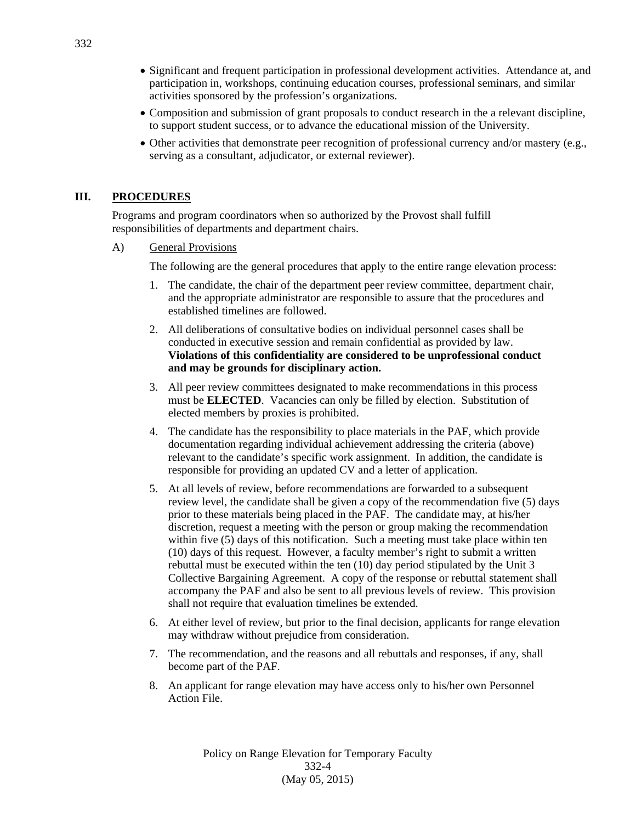- Significant and frequent participation in professional development activities. Attendance at, and participation in, workshops, continuing education courses, professional seminars, and similar activities sponsored by the profession's organizations.
- Composition and submission of grant proposals to conduct research in the a relevant discipline, to support student success, or to advance the educational mission of the University.
- Other activities that demonstrate peer recognition of professional currency and/or mastery (e.g., serving as a consultant, adjudicator, or external reviewer).

#### **III. PROCEDURES**

Programs and program coordinators when so authorized by the Provost shall fulfill responsibilities of departments and department chairs.

A) General Provisions

The following are the general procedures that apply to the entire range elevation process:

- 1. The candidate, the chair of the department peer review committee, department chair, and the appropriate administrator are responsible to assure that the procedures and established timelines are followed.
- 2. All deliberations of consultative bodies on individual personnel cases shall be conducted in executive session and remain confidential as provided by law. **Violations of this confidentiality are considered to be unprofessional conduct and may be grounds for disciplinary action.**
- 3. All peer review committees designated to make recommendations in this process must be **ELECTED**. Vacancies can only be filled by election. Substitution of elected members by proxies is prohibited.
- 4. The candidate has the responsibility to place materials in the PAF, which provide documentation regarding individual achievement addressing the criteria (above) relevant to the candidate's specific work assignment. In addition, the candidate is responsible for providing an updated CV and a letter of application.
- 5. At all levels of review, before recommendations are forwarded to a subsequent review level, the candidate shall be given a copy of the recommendation five (5) days prior to these materials being placed in the PAF. The candidate may, at his/her discretion, request a meeting with the person or group making the recommendation within five  $(5)$  days of this notification. Such a meeting must take place within ten (10) days of this request. However, a faculty member's right to submit a written rebuttal must be executed within the ten (10) day period stipulated by the Unit 3 Collective Bargaining Agreement. A copy of the response or rebuttal statement shall accompany the PAF and also be sent to all previous levels of review. This provision shall not require that evaluation timelines be extended.
- 6. At either level of review, but prior to the final decision, applicants for range elevation may withdraw without prejudice from consideration.
- 7. The recommendation, and the reasons and all rebuttals and responses, if any, shall become part of the PAF.
- 8. An applicant for range elevation may have access only to his/her own Personnel Action File.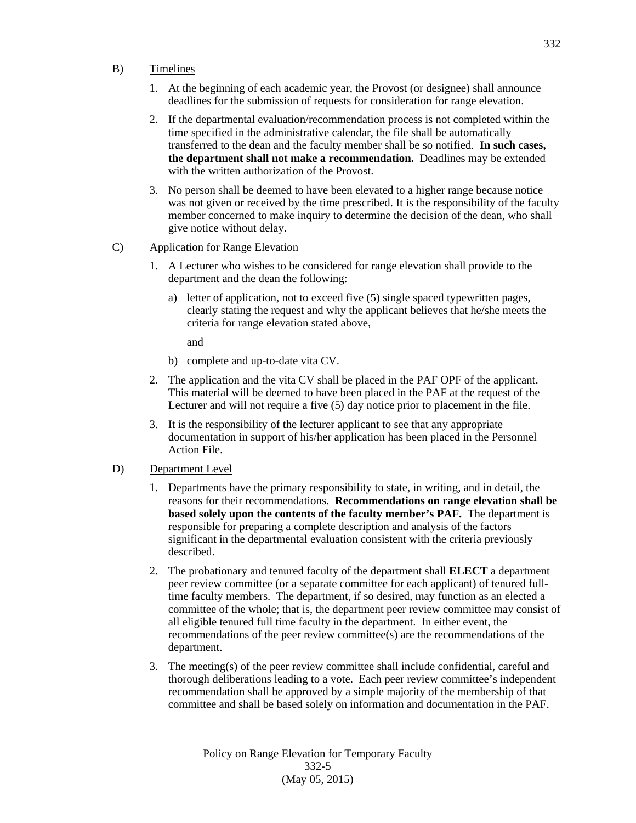- B) Timelines
	- 1. At the beginning of each academic year, the Provost (or designee) shall announce deadlines for the submission of requests for consideration for range elevation.
	- 2. If the departmental evaluation/recommendation process is not completed within the time specified in the administrative calendar, the file shall be automatically transferred to the dean and the faculty member shall be so notified. **In such cases, the department shall not make a recommendation.** Deadlines may be extended with the written authorization of the Provost.
	- 3. No person shall be deemed to have been elevated to a higher range because notice was not given or received by the time prescribed. It is the responsibility of the faculty member concerned to make inquiry to determine the decision of the dean, who shall give notice without delay.
- C) Application for Range Elevation
	- 1. A Lecturer who wishes to be considered for range elevation shall provide to the department and the dean the following:
		- a) letter of application, not to exceed five (5) single spaced typewritten pages, clearly stating the request and why the applicant believes that he/she meets the criteria for range elevation stated above,

and

- b) complete and up-to-date vita CV.
- 2. The application and the vita CV shall be placed in the PAF OPF of the applicant. This material will be deemed to have been placed in the PAF at the request of the Lecturer and will not require a five (5) day notice prior to placement in the file.
- 3. It is the responsibility of the lecturer applicant to see that any appropriate documentation in support of his/her application has been placed in the Personnel Action File.
- D) Department Level
	- 1. Departments have the primary responsibility to state, in writing, and in detail, the reasons for their recommendations. **Recommendations on range elevation shall be based solely upon the contents of the faculty member's PAF.** The department is responsible for preparing a complete description and analysis of the factors significant in the departmental evaluation consistent with the criteria previously described.
	- 2. The probationary and tenured faculty of the department shall **ELECT** a department peer review committee (or a separate committee for each applicant) of tenured fulltime faculty members. The department, if so desired, may function as an elected a committee of the whole; that is, the department peer review committee may consist of all eligible tenured full time faculty in the department. In either event, the recommendations of the peer review committee(s) are the recommendations of the department.
	- 3. The meeting(s) of the peer review committee shall include confidential, careful and thorough deliberations leading to a vote. Each peer review committee's independent recommendation shall be approved by a simple majority of the membership of that committee and shall be based solely on information and documentation in the PAF.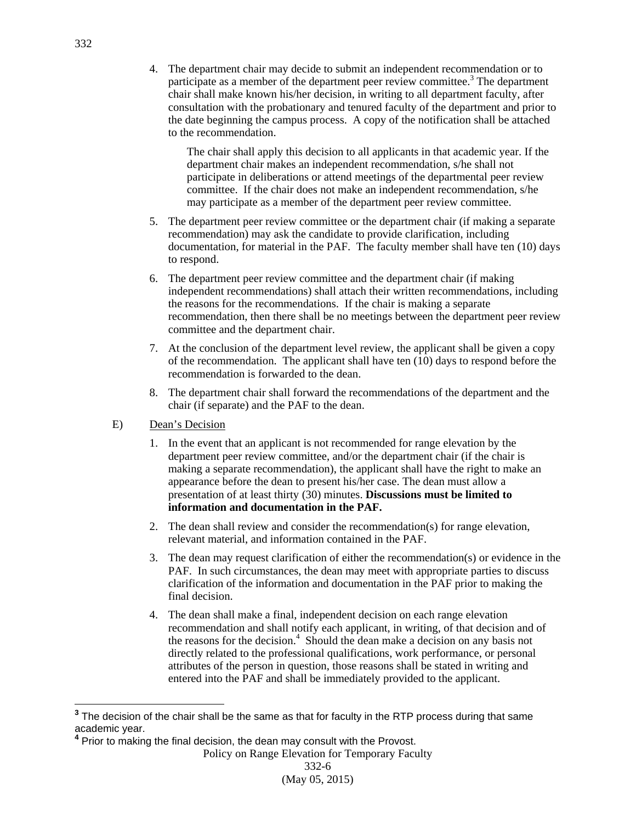4. The department chair may decide to submit an independent recommendation or to participate as a member of the department peer review committee.<sup>3</sup> The department chair shall make known his/her decision, in writing to all department faculty, after consultation with the probationary and tenured faculty of the department and prior to the date beginning the campus process. A copy of the notification shall be attached to the recommendation.

The chair shall apply this decision to all applicants in that academic year. If the department chair makes an independent recommendation, s/he shall not participate in deliberations or attend meetings of the departmental peer review committee. If the chair does not make an independent recommendation, s/he may participate as a member of the department peer review committee.

- 5. The department peer review committee or the department chair (if making a separate recommendation) may ask the candidate to provide clarification, including documentation, for material in the PAF. The faculty member shall have ten (10) days to respond.
- 6. The department peer review committee and the department chair (if making independent recommendations) shall attach their written recommendations, including the reasons for the recommendations. If the chair is making a separate recommendation, then there shall be no meetings between the department peer review committee and the department chair.
- 7. At the conclusion of the department level review, the applicant shall be given a copy of the recommendation. The applicant shall have ten  $(10)$  days to respond before the recommendation is forwarded to the dean.
- 8. The department chair shall forward the recommendations of the department and the chair (if separate) and the PAF to the dean.
- E) Dean's Decision
	- 1. In the event that an applicant is not recommended for range elevation by the department peer review committee, and/or the department chair (if the chair is making a separate recommendation), the applicant shall have the right to make an appearance before the dean to present his/her case. The dean must allow a presentation of at least thirty (30) minutes. **Discussions must be limited to information and documentation in the PAF.**
	- 2. The dean shall review and consider the recommendation(s) for range elevation, relevant material, and information contained in the PAF.
	- 3. The dean may request clarification of either the recommendation(s) or evidence in the PAF. In such circumstances, the dean may meet with appropriate parties to discuss clarification of the information and documentation in the PAF prior to making the final decision.
	- 4. The dean shall make a final, independent decision on each range elevation recommendation and shall notify each applicant, in writing, of that decision and of the reasons for the decision.<sup>4</sup> Should the dean make a decision on any basis not directly related to the professional qualifications, work performance, or personal attributes of the person in question, those reasons shall be stated in writing and entered into the PAF and shall be immediately provided to the applicant.

Policy on Range Elevation for Temporary Faculty

(May 05, 2015)

 **3** The decision of the chair shall be the same as that for faculty in the RTP process during that same academic year.

**<sup>4</sup>** Prior to making the final decision, the dean may consult with the Provost.